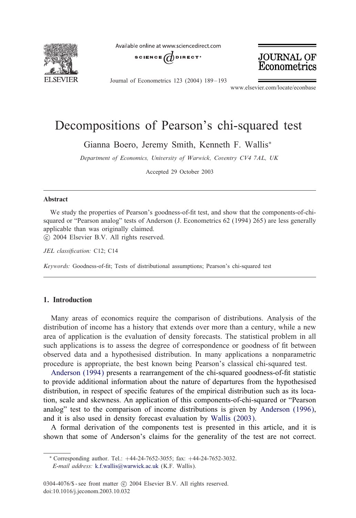

Available online at www.sciencedirect.com





Journal of Econometrics 123 (2004) 189 – 193

www.elsevier.com/locate/econbase

# Decompositions of Pearson's chi-squared test

Gianna Boero, Jeremy Smith, Kenneth F. Wallis<sup>∗</sup>

*Department of Economics, University of Warwick, Coventry CV4 7AL, UK*

Accepted 29 October 2003

#### Abstract

We study the properties of Pearson's goodness-of-fit test, and show that the components-of-chisquared or "Pearson analog" tests of Anderson (J. Econometrics 62 (1994) 265) are less generally applicable than was originally claimed.

c 2004 Elsevier B.V. All rights reserved.

JEL classification: C12; C14

*Keywords:* Goodness-of-fit; Tests of distributional assumptions; Pearson's chi-squared test

## 1. Introduction

Many areas of economics require the comparison of distributions. Analysis of the di[stribution of incom](#page-4-0)e has a history that extends over more than a century, while a new area of application is the evaluation of density forecasts. The statistical problem in all such applications is to assess the degree of correspondence or goodness of fit between observed data and a hypothesised distribution. In many applications a nonparametric procedure is appropriate, the best known being Pearson's classical [chi-squared test.](#page-4-0)

Anderson (1994) presents a rearrangement of the [chi-squared goo](#page-4-0)dness-of-fit statistic to provide additional information about the nature of departures from the hypothesised distribution, in respect of specific features of the empirical distribution such as its location, scale and skewness. An application of this components-of-chi-squared or "Pearson analog" test to the comparison of income distributions is given by Anderson (1996), and it is also u[sed in density forecas](mailto:k.f.wallis@warwick.ac.uk)t evaluation by Wallis (2003).

A formal derivation of the components test is presented in this article, and it is shown that some of Anderson's claims for the generality of the test are not correct.

<sup>∗</sup> Corresponding author. Tel.: +44-24-7652-3055; fax: +44-24-7652-3032. *E-mail address:* k.f.wallis@warwick.ac.uk (K.F. Wallis).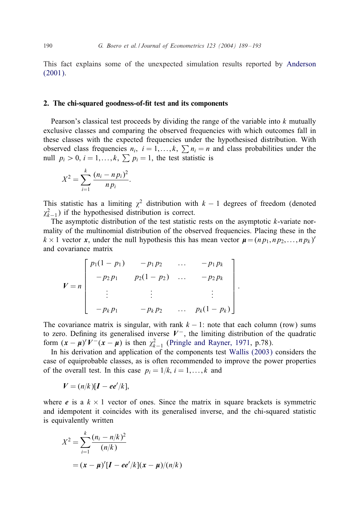This fact explains some of the unexpected simulation results reported by Anderson (2001).

#### 2. The chi-squared goodness-of-fit test and its components

Pearson's classical test proceeds by dividing the range of the variable into  $k$  mutually exclusive classes and comparing the observed frequencies with which outcomes fall in these classes with the expected frequencies under the hypothesised distribution. With observed class frequencies  $n_i$ ,  $i = 1,...,k$ ,  $\sum n_i = n$  and class probabilities under the null  $p_i > 0$ ,  $i = 1, ..., k$ ,  $\sum p_i = 1$ , the test statistic is

$$
X^{2} = \sum_{i=1}^{k} \frac{(n_{i} - n p_{i})^{2}}{n p_{i}}.
$$

This statistic has a limiting  $\chi^2$  distribution with  $k - 1$  degrees of freedom (denoted  $\chi_{k-1}^2$ ) if the hypothesised distribution is correct.

The asymptotic distribution of the test statistic rests on the asymptotic  $k$ -variate normality of the multinomial distribution of the observed frequencies. Placing these in the  $k \times 1$  vector *x*, under the null hypothesis this has mean vector  $\boldsymbol{\mu} = (n p_1, n p_2, \dots, n p_k)'$ and covariance matrix

$$
V = n \begin{bmatrix} p_1(1-p_1) & -p_1p_2 & \dots & -p_1p_k \\ -p_2p_1 & p_2(1-p_2) & \dots & -p_2p_k \\ \vdots & \vdots & & \vdots \\ -p_kp_1 & -p_kp_2 & \dots & p_k(1-p_k) \end{bmatrix}
$$

The covariance matrix is singular, with rank  $k - 1$ : note that each column (row) sums to zero. Defining its generalised inverse  $V^-$ , the limiting distribution of the quadratic form  $(x - \mu)'V^-(x - \mu)$  is then  $\chi^2_{k-1}$  (Pringle and Rayner, 1971, p.78).

:

In his derivation and application of the components test Wallis (2003) considers the case of equiprobable classes, as is often recommended to improve the power properties of the overall test. In this case  $p_i = 1/k$ ,  $i = 1, \ldots, k$  and

$$
V=(n/k)[I-ee'/k],
$$

where *e* is a  $k \times 1$  vector of ones. Since the matrix in square brackets is symmetric and idempotent it coincides with its generalised inverse, and the chi-squared statistic is equivalently written

$$
X^{2} = \sum_{i=1}^{k} \frac{(n_{i} - n/k)^{2}}{(n/k)}
$$
  
=  $(x - \mu)'[I - ee'/k](x - \mu)/(n/k)$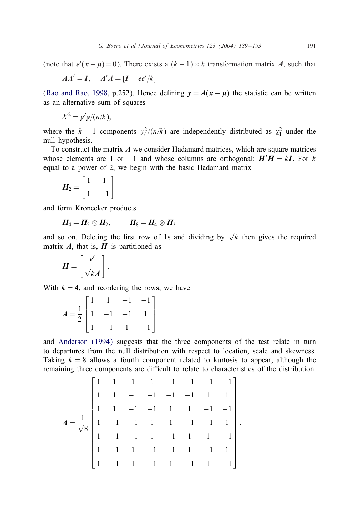(note that  $e'(x - \mu) = 0$ ). There exists a  $(k - 1) \times k$  transformation matrix *A*, such that

$$
AA'=I, \quad A'A=[I-ee'/k]
$$

(Rao and Rao, 1998, p.252). Hence defining  $y = A(x - \mu)$  the statistic can be written as an alternative sum of squares

$$
X^2 = \mathbf{y}'\mathbf{y}/(n/k),
$$

where the  $k-1$  components  $y_i^2/(n/k)$  are independently distributed as  $\chi_1^2$  under the null hypothesis.

To construct the matrix *A* we consider Hadamard matrices, which are square matrices whose elements are 1 or  $-1$  and whose columns are orthogonal:  $H'H = kI$ . For k equal to a power of 2, we begin with the basic Hadamard matrix

$$
H_2 = \begin{bmatrix} 1 & 1 \\ 1 & -1 \end{bmatrix}
$$

and form Kronecker products

$$
H_4=H_2\otimes H_2, \qquad H_8=H_4\otimes H_2
$$

and so on. Deleting the first row of 1s and dividing by  $\sqrt{k}$  then gives the required matrix  $\vec{A}$ , that is,  $\vec{H}$  is partitioned as

$$
H = \left[ \begin{array}{c} e' \\ \sqrt{k}A \end{array} \right].
$$

With  $k = 4$ , and reordering the rows, we have

$$
A = \frac{1}{2} \begin{bmatrix} 1 & 1 & -1 & -1 \\ 1 & -1 & -1 & 1 \\ 1 & -1 & 1 & -1 \end{bmatrix}
$$

and Anderson (1994) suggests that the three components of the test relate in turn to departures from the null distribution with respect to location, scale and skewness. Taking  $k = 8$  allows a fourth component related to kurtosis to appear, although the remaining three components are difficult to relate to characteristics of the distribution:

$$
A = \frac{1}{\sqrt{8}} \begin{bmatrix} 1 & 1 & 1 & 1 & -1 & -1 & -1 & -1 & -1 \\ 1 & 1 & -1 & -1 & -1 & -1 & 1 & 1 \\ 1 & 1 & -1 & -1 & 1 & 1 & -1 & -1 \\ 1 & -1 & -1 & 1 & 1 & -1 & -1 & 1 \\ 1 & -1 & 1 & -1 & -1 & 1 & -1 & 1 \\ 1 & -1 & 1 & -1 & -1 & 1 & -1 & 1 \\ 1 & -1 & 1 & -1 & 1 & -1 & 1 & -1 \end{bmatrix}.
$$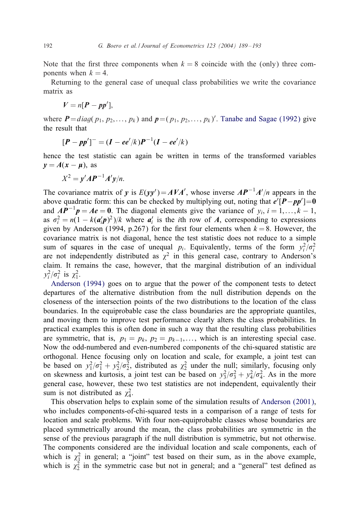Note that [the](#page-4-0) first [three](#page-4-0) [c](#page-4-0)omponents when  $k = 8$  coinc[ide](#page-4-0) [with](#page-4-0) the [\(only\)](#page-4-0) three components when  $k = 4$ .

Returning to the general case of unequal class probabilities we write the covariance matrix as

$$
V=n[P-pp'],
$$

where  $P = diag(p_1, p_2, \ldots, p_k)$  and  $p = (p_1, p_2, \ldots, p_k)'$ . Tanabe and Sagae (1992) give the result that

$$
[P - pp']^- = (I - ee'/k)P^{-1}(I - ee'/k)
$$

hence the test statistic can again be written in terms of the transformed variables  $y = A(x - \mu)$ , as

$$
X^2 = y'AP^{-1}A'y/n.
$$

The covariance matrix of *y* is  $E(yy') = AVA'$ , whose inverse  $AP^{-1}A'/n$  appears in the above quadratic form: this can be checked by multiplying out, noting that  $e'[P - pp'] = 0$ and  $AP^{-1}p = Ae = 0$ . The diagonal elements give the variance of  $y_i$ ,  $i = 1,...,k - 1$ , as  $\sigma_i^2 = n(1 - k(a_i' p)^2)/k$  where  $a_i'$  is the *i*th row of *A*, corresponding to expressions given by Anderson (1994, p.267) for the first four elements when  $k = 8$ . However, the c[ovariance matrix is](#page-4-0) not diagonal, hence the test statistic does not reduce to a simple sum of squares in the case of unequal  $p_i$ . Equivalently, terms of the form  $y_i^2/\sigma_i^2$ are not independently distributed as  $\chi^2$  in this general case, contrary to Anderson's claim. It remains the case, however, that the marginal distribution of an individual  $y_i^2/\sigma_i^2$  is  $\chi_1^2$ .

Anderson (1994) goes on to argue that the power of the component tests to detect departures of the alternative distribution from the null distribution depends on the closeness of the intersection points of the two distributions to the location of the class boundaries. In the equiprobable case the class boundaries are the appropriate quantiles, and moving them to improve test performance clearly alters the class probabilities. In practical examples this is often done in such a way that the resulting class probabilities are symmetric, that is,  $p_1 = p_k$ ,  $p_2 = p_{k-1}, \ldots$ , which is an interesting special case. Now the odd-numbered and even-numbered components of the chi-squared statistic are orthogonal. Hence focusing only on location and scale, for exampl[e, a joint test can](#page-4-0) be based on  $y_1^2/\sigma_1^2 + y_2^2/\sigma_2^2$ , distributed as  $\chi_2^2$  under the null; similarly, focusing only on skewness and kurtosis, a joint test can be based on  $y_3^2/\sigma_3^2 + y_4^2/\sigma_4^2$ . As in the more general case, however, these two test statistics are not independent, equivalently their sum is not distributed as  $\chi^2_4$ .

This observation helps to explain some of the simulation results of Anderson (2001), who includes components-of-chi-squared tests in a comparison of a range of tests for location and scale problems. With four non-equiprobable classes whose boundaries are placed symmetrically around the mean, the class probabilities are symmetric in the sense of the previous paragraph if the null distribution is symmetric, but not otherwise. The components considered are the individual location and scale components, each of which is  $\chi_1^2$  in general; a "joint" test based on their sum, as in the above example, which is  $\chi^2$  in the symmetric case but not in general; and a "general" test defined as